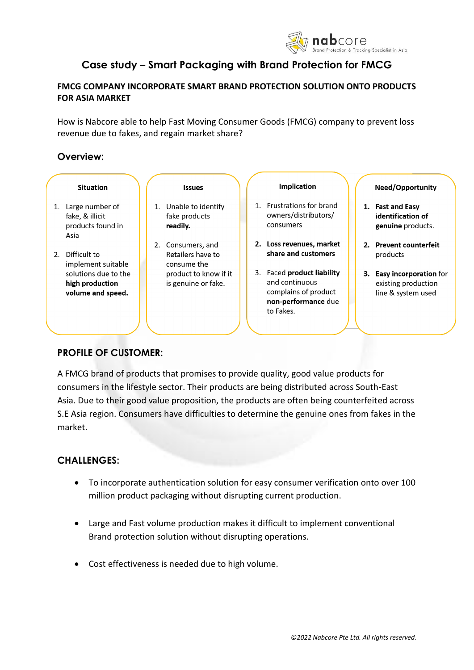

# **Case study – Smart Packaging with Brand Protection for FMCG**

## **FMCG COMPANY INCORPORATE SMART BRAND PROTECTION SOLUTION ONTO PRODUCTS FOR ASIA MARKET**

How is Nabcore able to help Fast Moving Consumer Goods (FMCG) company to prevent loss revenue due to fakes, and regain market share?

## **Overview:**

|  | <b>Situation</b>                                                   |  | <b>Issues</b>                                         |                | <b>Implication</b>                                                                                       | <b>Need/Opportunity</b>                                                |
|--|--------------------------------------------------------------------|--|-------------------------------------------------------|----------------|----------------------------------------------------------------------------------------------------------|------------------------------------------------------------------------|
|  | 1. Large number of<br>fake, & illicit<br>products found in<br>Asia |  | Unable to identify<br>fake products<br>readily.       | $\mathbf{1}$ . | <b>Frustrations for brand</b><br>owners/distributors/<br>consumers                                       | 1. Fast and Easy<br>identification of<br>genuine products.             |
|  | 2. Difficult to<br>implement suitable                              |  | 2. Consumers, and<br>Retailers have to<br>consume the |                | 2. Loss revenues, market<br>share and customers                                                          | 2. Prevent counterfeit<br>products                                     |
|  | solutions due to the<br>high production<br>volume and speed.       |  | product to know if it<br>is genuine or fake.          |                | 3. Faced product liability<br>and continuous<br>complains of product<br>non-performance due<br>to Fakes. | 3. Easy incorporation for<br>existing production<br>line & system used |

# **PROFILE OF CUSTOMER:**

A FMCG brand of products that promises to provide quality, good value products for consumers in the lifestyle sector. Their products are being distributed across South-East Asia. Due to their good value proposition, the products are often being counterfeited across S.E Asia region. Consumers have difficulties to determine the genuine ones from fakes in the market.

# **CHALLENGES:**

- To incorporate authentication solution for easy consumer verification onto over 100 million product packaging without disrupting current production.
- Large and Fast volume production makes it difficult to implement conventional Brand protection solution without disrupting operations.
- Cost effectiveness is needed due to high volume.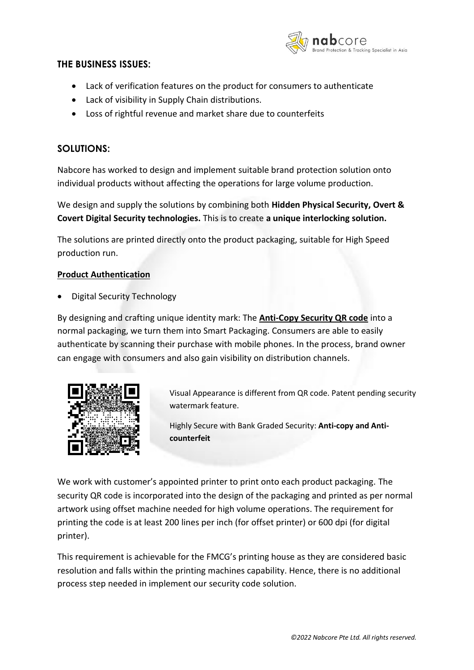

#### **THE BUSINESS ISSUES:**

- Lack of verification features on the product for consumers to authenticate
- Lack of visibility in Supply Chain distributions.
- Loss of rightful revenue and market share due to counterfeits

### **SOLUTIONS:**

Nabcore has worked to design and implement suitable brand protection solution onto individual products without affecting the operations for large volume production.

We design and supply the solutions by combining both **Hidden Physical Security, Overt & Covert Digital Security technologies.** This is to create **a unique interlocking solution.**

The solutions are printed directly onto the product packaging, suitable for High Speed production run.

#### **Product Authentication**

• Digital Security Technology

By designing and crafting unique identity mark: The **Anti-Copy Security QR code** into a normal packaging, we turn them into Smart Packaging. Consumers are able to easily authenticate by scanning their purchase with mobile phones. In the process, brand owner can engage with consumers and also gain visibility on distribution channels.



Visual Appearance is different from QR code. Patent pending security watermark feature.

Highly Secure with Bank Graded Security: **Anti-copy and Anticounterfeit**

We work with customer's appointed printer to print onto each product packaging. The security QR code is incorporated into the design of the packaging and printed as per normal artwork using offset machine needed for high volume operations. The requirement for printing the code is at least 200 lines per inch (for offset printer) or 600 dpi (for digital printer).

This requirement is achievable for the FMCG's printing house as they are considered basic resolution and falls within the printing machines capability. Hence, there is no additional process step needed in implement our security code solution.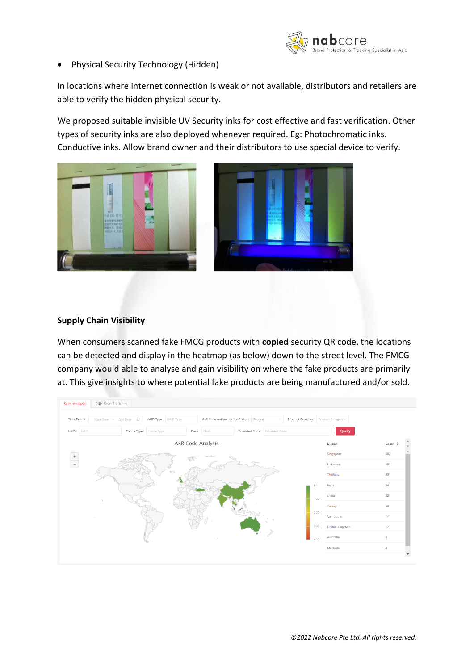

• Physical Security Technology (Hidden)

In locations where internet connection is weak or not available, distributors and retailers are able to verify the hidden physical security.

We proposed suitable invisible UV Security inks for cost effective and fast verification. Other types of security inks are also deployed whenever required. Eg: Photochromatic inks. Conductive inks. Allow brand owner and their distributors to use special device to verify.





#### **Supply Chain Visibility**

When consumers scanned fake FMCG products with **copied** security QR code, the locations can be detected and display in the heatmap (as below) down to the street level. The FMCG company would able to analyse and gain visibility on where the fake products are primarily at. This give insights to where potential fake products are being manufactured and/or sold.